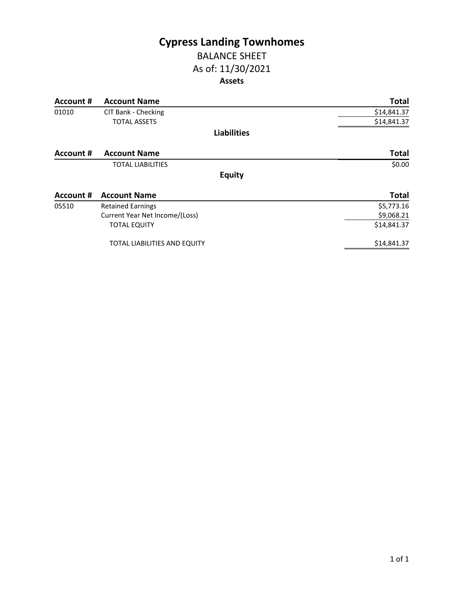## **Cypress Landing Townhomes** BALANCE SHEET

### As of: 11/30/2021

### **Assets**

| Account # | <b>Account Name</b>            | <b>Total</b> |
|-----------|--------------------------------|--------------|
| 01010     | CIT Bank - Checking            | \$14,841.37  |
|           | <b>TOTAL ASSETS</b>            | \$14,841.37  |
|           | <b>Liabilities</b>             |              |
| Account # | <b>Account Name</b>            | <b>Total</b> |
|           | <b>TOTAL LIABILITIES</b>       | \$0.00       |
|           | <b>Equity</b>                  |              |
| Account # | <b>Account Name</b>            | <b>Total</b> |
| 05510     | <b>Retained Earnings</b>       | \$5,773.16   |
|           | Current Year Net Income/(Loss) | \$9,068.21   |
|           | <b>TOTAL EQUITY</b>            | \$14,841.37  |
|           | TOTAL LIABILITIES AND EQUITY   | \$14,841.37  |